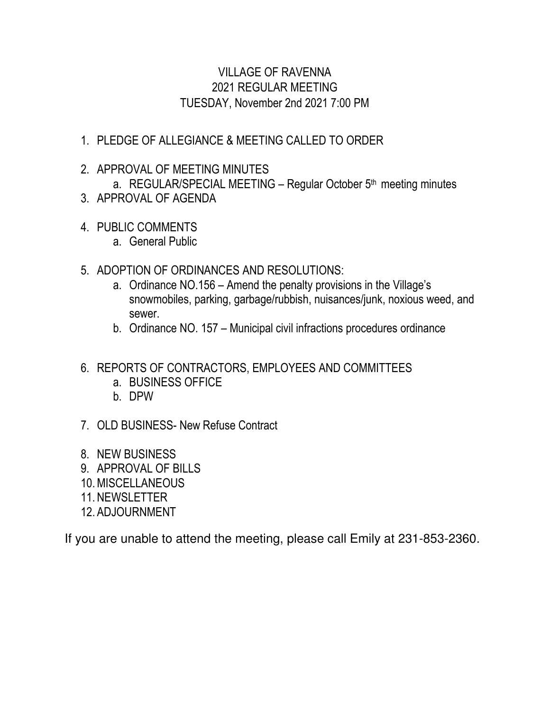# VILLAGE OF RAVENNA 2021 REGULAR MEETING TUESDAY, November 2nd 2021 7:00 PM

# 1. PLEDGE OF ALLEGIANCE & MEETING CALLED TO ORDER

# 2. APPROVAL OF MEETING MINUTES

a. REGULAR/SPECIAL MEETING - Regular October  $5<sup>th</sup>$  meeting minutes

- 3. APPROVAL OF AGENDA
- 4. PUBLIC COMMENTS
	- a. General Public
- 5. ADOPTION OF ORDINANCES AND RESOLUTIONS:
	- a. Ordinance NO.156 Amend the penalty provisions in the Village's snowmobiles, parking, garbage/rubbish, nuisances/junk, noxious weed, and sewer.
	- b. Ordinance NO. 157 Municipal civil infractions procedures ordinance
- 6. REPORTS OF CONTRACTORS, EMPLOYEES AND COMMITTEES
	- a. BUSINESS OFFICE
	- b. DPW
- 7. OLD BUSINESS- New Refuse Contract
- 8. NEW BUSINESS
- 9. APPROVAL OF BILLS
- 10.MISCELLANEOUS
- 11. NEWSLETTER
- 12. ADJOURNMENT

If you are unable to attend the meeting, please call Emily at 231-853-2360.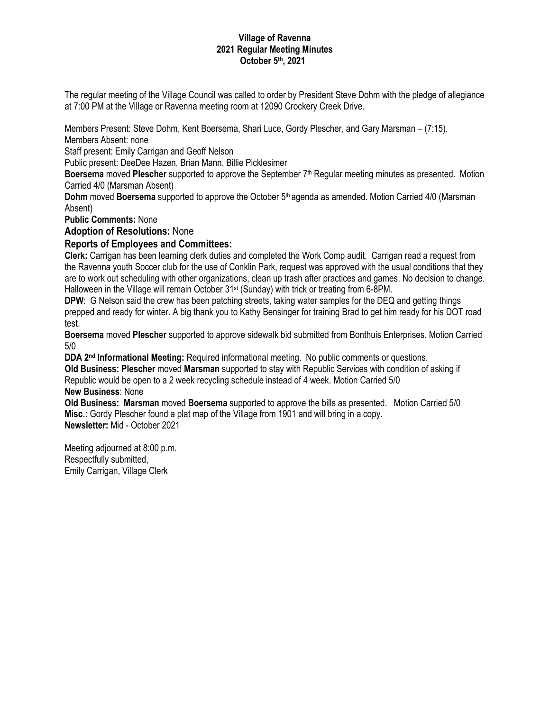# **Village of Ravenna 2021 Regular Meeting Minutes October 5th, 2021**

The regular meeting of the Village Council was called to order by President Steve Dohm with the pledge of allegiance at 7:00 PM at the Village or Ravenna meeting room at 12090 Crockery Creek Drive.

Members Present: Steve Dohm, Kent Boersema, Shari Luce, Gordy Plescher, and Gary Marsman – (7:15).

Members Absent: none

Staff present: Emily Carrigan and Geoff Nelson

Public present: DeeDee Hazen, Brian Mann, Billie Picklesimer

**Boersema** moved **Plescher** supported to approve the September 7th Regular meeting minutes as presented. Motion Carried 4/0 (Marsman Absent)

**Dohm** moved **Boersema** supported to approve the October 5th agenda as amended. Motion Carried 4/0 (Marsman Absent)

**Public Comments:** None

**Adoption of Resolutions:** None

# **Reports of Employees and Committees:**

**Clerk:** Carrigan has been learning clerk duties and completed the Work Comp audit. Carrigan read a request from the Ravenna youth Soccer club for the use of Conklin Park, request was approved with the usual conditions that they are to work out scheduling with other organizations, clean up trash after practices and games. No decision to change. Halloween in the Village will remain October 31<sup>st</sup> (Sunday) with trick or treating from 6-8PM.

**DPW**: G Nelson said the crew has been patching streets, taking water samples for the DEQ and getting things prepped and ready for winter. A big thank you to Kathy Bensinger for training Brad to get him ready for his DOT road test.

**Boersema** moved **Plescher** supported to approve sidewalk bid submitted from Bonthuis Enterprises. Motion Carried 5/0

**DDA 2nd Informational Meeting:** Required informational meeting. No public comments or questions. **Old Business: Plescher** moved **Marsman** supported to stay with Republic Services with condition of asking if Republic would be open to a 2 week recycling schedule instead of 4 week. Motion Carried 5/0

# **New Business**: None

**Old Business: Marsman** moved **Boersema** supported to approve the bills as presented. Motion Carried 5/0 **Misc.:** Gordy Plescher found a plat map of the Village from 1901 and will bring in a copy. **Newsletter:** Mid - October 2021

Meeting adjourned at 8:00 p.m. Respectfully submitted, Emily Carrigan, Village Clerk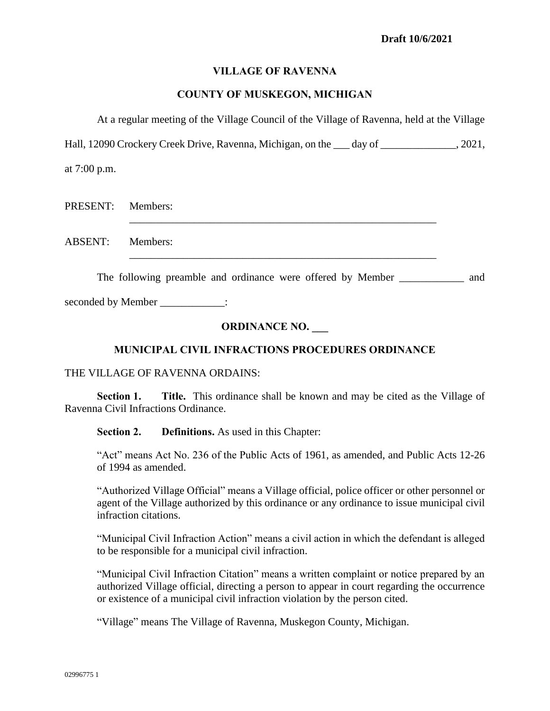# **VILLAGE OF RAVENNA**

# **COUNTY OF MUSKEGON, MICHIGAN**

At a regular meeting of the Village Council of the Village of Ravenna, held at the Village

Hall, 12090 Crockery Creek Drive, Ravenna, Michigan, on the day of . 2021,

at 7:00 p.m.

| PRESENT: Members: |  |
|-------------------|--|
| ABSENT: Members:  |  |

The following preamble and ordinance were offered by Member and and

seconded by Member  $\qquad \qquad$  :

# **ORDINANCE NO. \_\_\_**

# **MUNICIPAL CIVIL INFRACTIONS PROCEDURES ORDINANCE**

# THE VILLAGE OF RAVENNA ORDAINS:

**Section 1. Title.** This ordinance shall be known and may be cited as the Village of Ravenna Civil Infractions Ordinance.

**Section 2. Definitions.** As used in this Chapter:

"Act" means Act No. 236 of the Public Acts of 1961, as amended, and Public Acts 12-26 of 1994 as amended.

"Authorized Village Official" means a Village official, police officer or other personnel or agent of the Village authorized by this ordinance or any ordinance to issue municipal civil infraction citations.

"Municipal Civil Infraction Action" means a civil action in which the defendant is alleged to be responsible for a municipal civil infraction.

"Municipal Civil Infraction Citation" means a written complaint or notice prepared by an authorized Village official, directing a person to appear in court regarding the occurrence or existence of a municipal civil infraction violation by the person cited.

"Village" means The Village of Ravenna, Muskegon County, Michigan.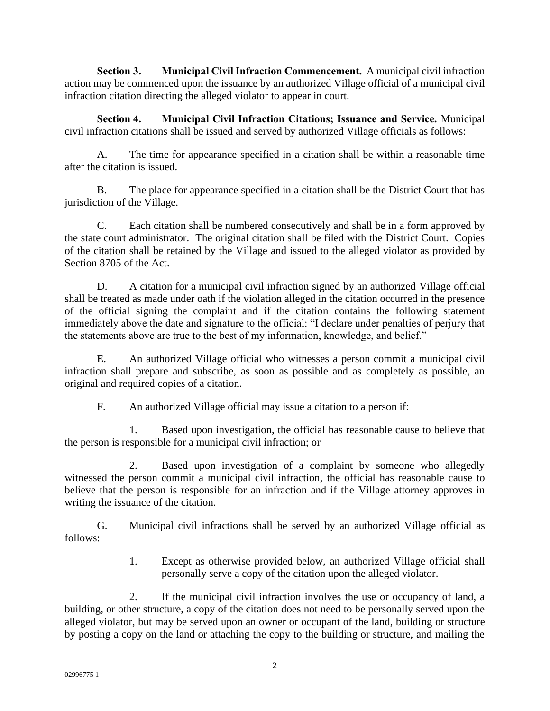**Section 3. Municipal Civil Infraction Commencement.** A municipal civil infraction action may be commenced upon the issuance by an authorized Village official of a municipal civil infraction citation directing the alleged violator to appear in court.

**Section 4. Municipal Civil Infraction Citations; Issuance and Service.** Municipal civil infraction citations shall be issued and served by authorized Village officials as follows:

A. The time for appearance specified in a citation shall be within a reasonable time after the citation is issued.

B. The place for appearance specified in a citation shall be the District Court that has jurisdiction of the Village.

C. Each citation shall be numbered consecutively and shall be in a form approved by the state court administrator. The original citation shall be filed with the District Court. Copies of the citation shall be retained by the Village and issued to the alleged violator as provided by Section 8705 of the Act.

D. A citation for a municipal civil infraction signed by an authorized Village official shall be treated as made under oath if the violation alleged in the citation occurred in the presence of the official signing the complaint and if the citation contains the following statement immediately above the date and signature to the official: "I declare under penalties of perjury that the statements above are true to the best of my information, knowledge, and belief."

E. An authorized Village official who witnesses a person commit a municipal civil infraction shall prepare and subscribe, as soon as possible and as completely as possible, an original and required copies of a citation.

F. An authorized Village official may issue a citation to a person if:

1. Based upon investigation, the official has reasonable cause to believe that the person is responsible for a municipal civil infraction; or

2. Based upon investigation of a complaint by someone who allegedly witnessed the person commit a municipal civil infraction, the official has reasonable cause to believe that the person is responsible for an infraction and if the Village attorney approves in writing the issuance of the citation.

G. Municipal civil infractions shall be served by an authorized Village official as follows:

> 1. Except as otherwise provided below, an authorized Village official shall personally serve a copy of the citation upon the alleged violator.

2. If the municipal civil infraction involves the use or occupancy of land, a building, or other structure, a copy of the citation does not need to be personally served upon the alleged violator, but may be served upon an owner or occupant of the land, building or structure by posting a copy on the land or attaching the copy to the building or structure, and mailing the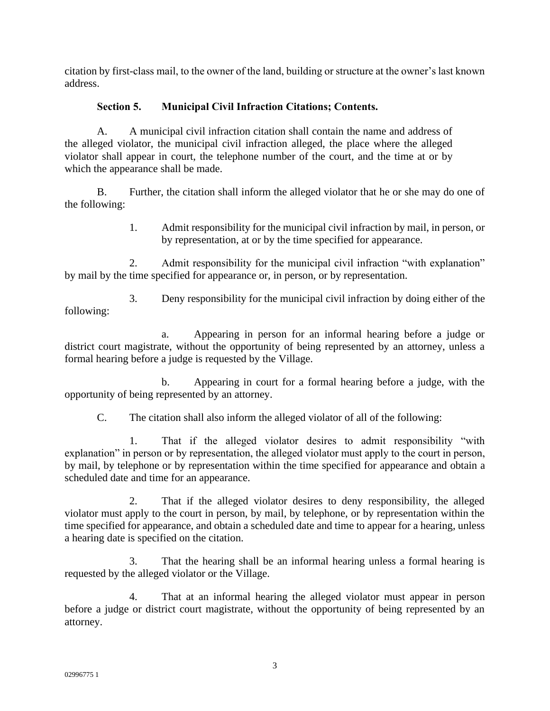citation by first-class mail, to the owner of the land, building or structure at the owner's last known address.

# **Section 5. Municipal Civil Infraction Citations; Contents.**

A. A municipal civil infraction citation shall contain the name and address of the alleged violator, the municipal civil infraction alleged, the place where the alleged violator shall appear in court, the telephone number of the court, and the time at or by which the appearance shall be made.

B. Further, the citation shall inform the alleged violator that he or she may do one of the following:

> 1. Admit responsibility for the municipal civil infraction by mail, in person, or by representation, at or by the time specified for appearance.

2. Admit responsibility for the municipal civil infraction "with explanation" by mail by the time specified for appearance or, in person, or by representation.

3. Deny responsibility for the municipal civil infraction by doing either of the following:

a. Appearing in person for an informal hearing before a judge or district court magistrate, without the opportunity of being represented by an attorney, unless a formal hearing before a judge is requested by the Village.

b. Appearing in court for a formal hearing before a judge, with the opportunity of being represented by an attorney.

C. The citation shall also inform the alleged violator of all of the following:

1. That if the alleged violator desires to admit responsibility "with explanation" in person or by representation, the alleged violator must apply to the court in person, by mail, by telephone or by representation within the time specified for appearance and obtain a scheduled date and time for an appearance.

2. That if the alleged violator desires to deny responsibility, the alleged violator must apply to the court in person, by mail, by telephone, or by representation within the time specified for appearance, and obtain a scheduled date and time to appear for a hearing, unless a hearing date is specified on the citation.

3. That the hearing shall be an informal hearing unless a formal hearing is requested by the alleged violator or the Village.

4. That at an informal hearing the alleged violator must appear in person before a judge or district court magistrate, without the opportunity of being represented by an attorney.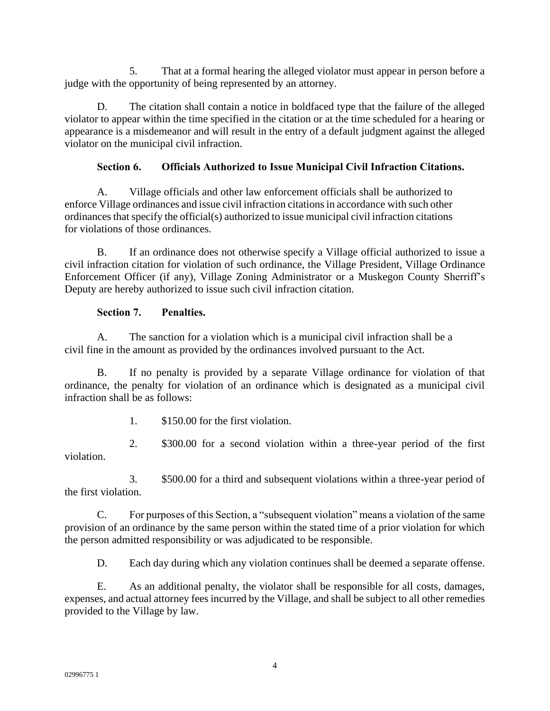5. That at a formal hearing the alleged violator must appear in person before a judge with the opportunity of being represented by an attorney.

D. The citation shall contain a notice in boldfaced type that the failure of the alleged violator to appear within the time specified in the citation or at the time scheduled for a hearing or appearance is a misdemeanor and will result in the entry of a default judgment against the alleged violator on the municipal civil infraction.

# **Section 6. Officials Authorized to Issue Municipal Civil Infraction Citations.**

A. Village officials and other law enforcement officials shall be authorized to enforce Village ordinances and issue civil infraction citations in accordance with such other ordinances that specify the official(s) authorized to issue municipal civil infraction citations for violations of those ordinances.

B. If an ordinance does not otherwise specify a Village official authorized to issue a civil infraction citation for violation of such ordinance, the Village President, Village Ordinance Enforcement Officer (if any), Village Zoning Administrator or a Muskegon County Sherriff's Deputy are hereby authorized to issue such civil infraction citation.

# **Section 7. Penalties.**

A. The sanction for a violation which is a municipal civil infraction shall be a civil fine in the amount as provided by the ordinances involved pursuant to the Act.

B. If no penalty is provided by a separate Village ordinance for violation of that ordinance, the penalty for violation of an ordinance which is designated as a municipal civil infraction shall be as follows:

1. \$150.00 for the first violation.

2. \$300.00 for a second violation within a three-year period of the first violation.

3. \$500.00 for a third and subsequent violations within a three-year period of the first violation.

C. For purposes of this Section, a "subsequent violation" means a violation of the same provision of an ordinance by the same person within the stated time of a prior violation for which the person admitted responsibility or was adjudicated to be responsible.

D. Each day during which any violation continues shall be deemed a separate offense.

E. As an additional penalty, the violator shall be responsible for all costs, damages, expenses, and actual attorney fees incurred by the Village, and shall be subject to all other remedies provided to the Village by law.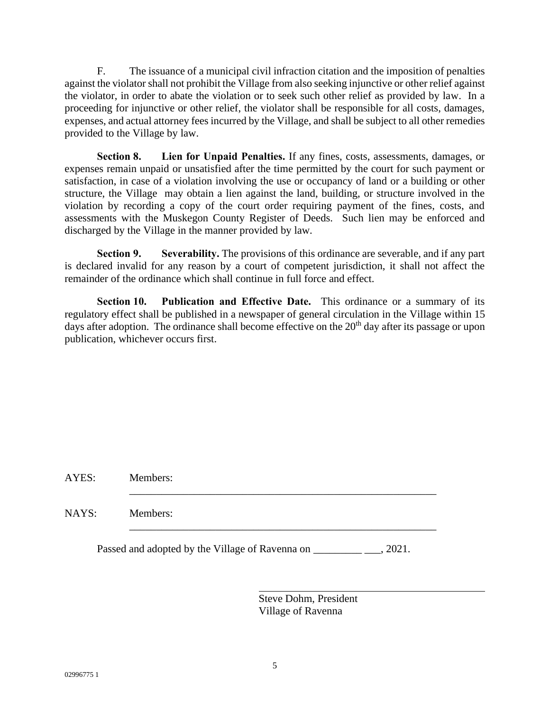F. The issuance of a municipal civil infraction citation and the imposition of penalties against the violator shall not prohibit the Village from also seeking injunctive or other relief against the violator, in order to abate the violation or to seek such other relief as provided by law. In a proceeding for injunctive or other relief, the violator shall be responsible for all costs, damages, expenses, and actual attorney fees incurred by the Village, and shall be subject to all other remedies provided to the Village by law.

**Section 8. Lien for Unpaid Penalties.** If any fines, costs, assessments, damages, or expenses remain unpaid or unsatisfied after the time permitted by the court for such payment or satisfaction, in case of a violation involving the use or occupancy of land or a building or other structure, the Village may obtain a lien against the land, building, or structure involved in the violation by recording a copy of the court order requiring payment of the fines, costs, and assessments with the Muskegon County Register of Deeds. Such lien may be enforced and discharged by the Village in the manner provided by law.

**Section 9. Severability.** The provisions of this ordinance are severable, and if any part is declared invalid for any reason by a court of competent jurisdiction, it shall not affect the remainder of the ordinance which shall continue in full force and effect.

**Section 10. Publication and Effective Date.** This ordinance or a summary of its regulatory effect shall be published in a newspaper of general circulation in the Village within 15 days after adoption. The ordinance shall become effective on the  $20<sup>th</sup>$  day after its passage or upon publication, whichever occurs first.

AYES: Members:

NAYS: Members:

Passed and adopted by the Village of Ravenna on \_\_\_\_\_\_\_\_\_\_\_\_\_\_\_\_, 2021.

\_\_\_\_\_\_\_\_\_\_\_\_\_\_\_\_\_\_\_\_\_\_\_\_\_\_\_\_\_\_\_\_\_\_\_\_\_\_\_\_\_\_\_\_\_\_\_\_\_\_\_\_\_\_\_\_\_

\_\_\_\_\_\_\_\_\_\_\_\_\_\_\_\_\_\_\_\_\_\_\_\_\_\_\_\_\_\_\_\_\_\_\_\_\_\_\_\_\_\_\_\_\_\_\_\_\_\_\_\_\_\_\_\_\_

Steve Dohm, President Village of Ravenna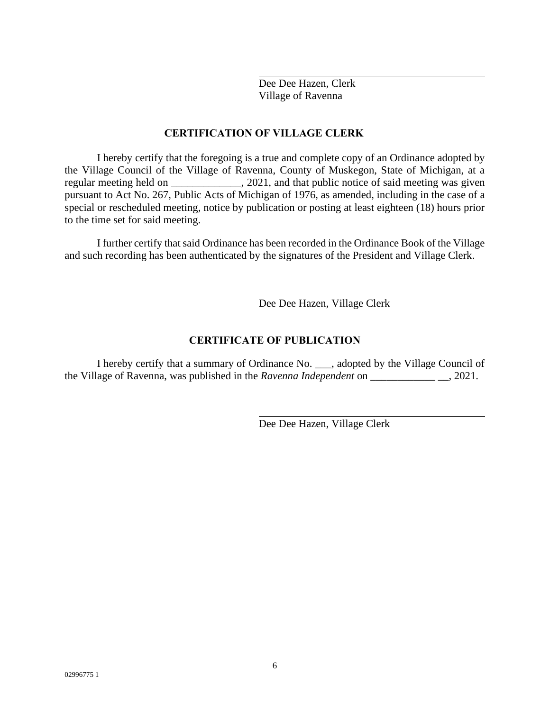Dee Dee Hazen, Clerk Village of Ravenna

# **CERTIFICATION OF VILLAGE CLERK**

I hereby certify that the foregoing is a true and complete copy of an Ordinance adopted by the Village Council of the Village of Ravenna, County of Muskegon, State of Michigan, at a regular meeting held on \_\_\_\_\_\_\_\_\_\_\_\_, 2021, and that public notice of said meeting was given pursuant to Act No. 267, Public Acts of Michigan of 1976, as amended, including in the case of a special or rescheduled meeting, notice by publication or posting at least eighteen (18) hours prior to the time set for said meeting.

I further certify that said Ordinance has been recorded in the Ordinance Book of the Village and such recording has been authenticated by the signatures of the President and Village Clerk.

Dee Dee Hazen, Village Clerk

# **CERTIFICATE OF PUBLICATION**

I hereby certify that a summary of Ordinance No. \_\_\_, adopted by the Village Council of the Village of Ravenna, was published in the *Ravenna Independent* on \_\_\_\_\_\_\_\_\_\_\_\_ \_\_, 2021.

Dee Dee Hazen, Village Clerk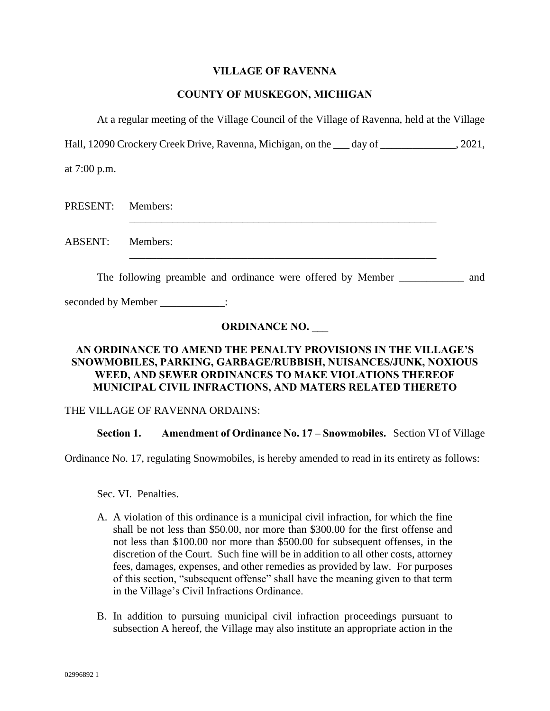# **VILLAGE OF RAVENNA**

# **COUNTY OF MUSKEGON, MICHIGAN**

At a regular meeting of the Village Council of the Village of Ravenna, held at the Village

Hall, 12090 Crockery Creek Drive, Ravenna, Michigan, on the day of  $\qquad \qquad .2021,$ 

at 7:00 p.m.

| PRESENT: Members: |  |
|-------------------|--|
| ABSENT: Members:  |  |

The following preamble and ordinance were offered by Member and and

seconded by Member  $\qquad \qquad$  :

# **ORDINANCE NO. \_\_\_**

# **AN ORDINANCE TO AMEND THE PENALTY PROVISIONS IN THE VILLAGE'S SNOWMOBILES, PARKING, GARBAGE/RUBBISH, NUISANCES/JUNK, NOXIOUS WEED, AND SEWER ORDINANCES TO MAKE VIOLATIONS THEREOF MUNICIPAL CIVIL INFRACTIONS, AND MATERS RELATED THERETO**

# THE VILLAGE OF RAVENNA ORDAINS:

# **Section 1. Amendment of Ordinance No. 17 – Snowmobiles.** Section VI of Village

Ordinance No. 17, regulating Snowmobiles, is hereby amended to read in its entirety as follows:

Sec. VI. Penalties.

- A. A violation of this ordinance is a municipal civil infraction, for which the fine shall be not less than \$50.00, nor more than \$300.00 for the first offense and not less than \$100.00 nor more than \$500.00 for subsequent offenses, in the discretion of the Court. Such fine will be in addition to all other costs, attorney fees, damages, expenses, and other remedies as provided by law. For purposes of this section, "subsequent offense" shall have the meaning given to that term in the Village's Civil Infractions Ordinance.
- B. In addition to pursuing municipal civil infraction proceedings pursuant to subsection A hereof, the Village may also institute an appropriate action in the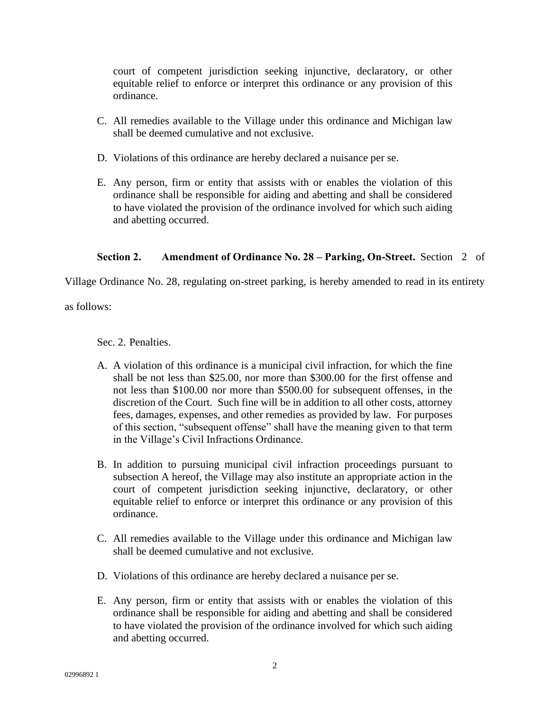court of competent jurisdiction seeking injunctive, declaratory, or other equitable relief to enforce or interpret this ordinance or any provision of this ordinance.

- C. All remedies available to the Village under this ordinance and Michigan law shall be deemed cumulative and not exclusive.
- D. Violations of this ordinance are hereby declared a nuisance per se.
- E. Any person, firm or entity that assists with or enables the violation of this ordinance shall be responsible for aiding and abetting and shall be considered to have violated the provision of the ordinance involved for which such aiding and abetting occurred.

# **Section 2. Amendment of Ordinance No. 28 – Parking, On-Street.** Section 2 of

Village Ordinance No. 28, regulating on-street parking, is hereby amended to read in its entirety

as follows:

Sec. 2. Penalties.

- A. A violation of this ordinance is a municipal civil infraction, for which the fine shall be not less than \$25.00, nor more than \$300.00 for the first offense and not less than \$100.00 nor more than \$500.00 for subsequent offenses, in the discretion of the Court. Such fine will be in addition to all other costs, attorney fees, damages, expenses, and other remedies as provided by law. For purposes of this section, "subsequent offense" shall have the meaning given to that term in the Village's Civil Infractions Ordinance.
- B. In addition to pursuing municipal civil infraction proceedings pursuant to subsection A hereof, the Village may also institute an appropriate action in the court of competent jurisdiction seeking injunctive, declaratory, or other equitable relief to enforce or interpret this ordinance or any provision of this ordinance.
- C. All remedies available to the Village under this ordinance and Michigan law shall be deemed cumulative and not exclusive.
- D. Violations of this ordinance are hereby declared a nuisance per se.
- E. Any person, firm or entity that assists with or enables the violation of this ordinance shall be responsible for aiding and abetting and shall be considered to have violated the provision of the ordinance involved for which such aiding and abetting occurred.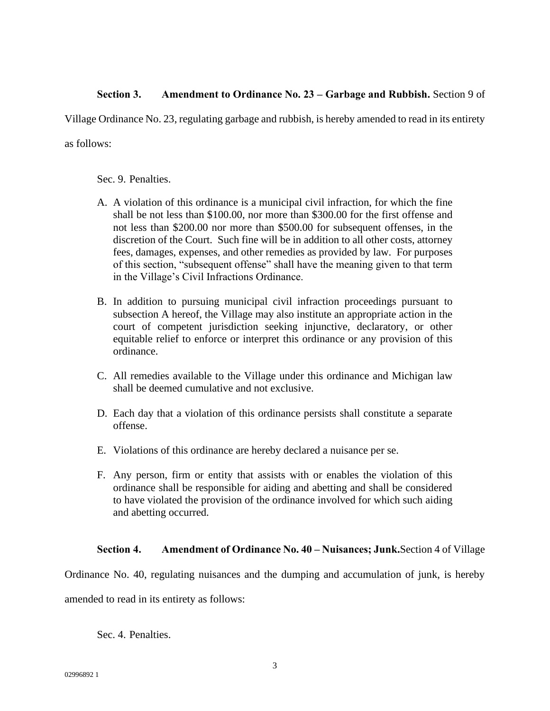# **Section 3. Amendment to Ordinance No. 23 – Garbage and Rubbish.** Section 9 of

Village Ordinance No. 23, regulating garbage and rubbish, is hereby amended to read in its entirety

as follows:

Sec. 9. Penalties.

- A. A violation of this ordinance is a municipal civil infraction, for which the fine shall be not less than \$100.00, nor more than \$300.00 for the first offense and not less than \$200.00 nor more than \$500.00 for subsequent offenses, in the discretion of the Court. Such fine will be in addition to all other costs, attorney fees, damages, expenses, and other remedies as provided by law. For purposes of this section, "subsequent offense" shall have the meaning given to that term in the Village's Civil Infractions Ordinance.
- B. In addition to pursuing municipal civil infraction proceedings pursuant to subsection A hereof, the Village may also institute an appropriate action in the court of competent jurisdiction seeking injunctive, declaratory, or other equitable relief to enforce or interpret this ordinance or any provision of this ordinance.
- C. All remedies available to the Village under this ordinance and Michigan law shall be deemed cumulative and not exclusive.
- D. Each day that a violation of this ordinance persists shall constitute a separate offense.
- E. Violations of this ordinance are hereby declared a nuisance per se.
- F. Any person, firm or entity that assists with or enables the violation of this ordinance shall be responsible for aiding and abetting and shall be considered to have violated the provision of the ordinance involved for which such aiding and abetting occurred.

# **Section 4. Amendment of Ordinance No. 40 – Nuisances; Junk.**Section 4 of Village

Ordinance No. 40, regulating nuisances and the dumping and accumulation of junk, is hereby amended to read in its entirety as follows:

Sec. 4. Penalties.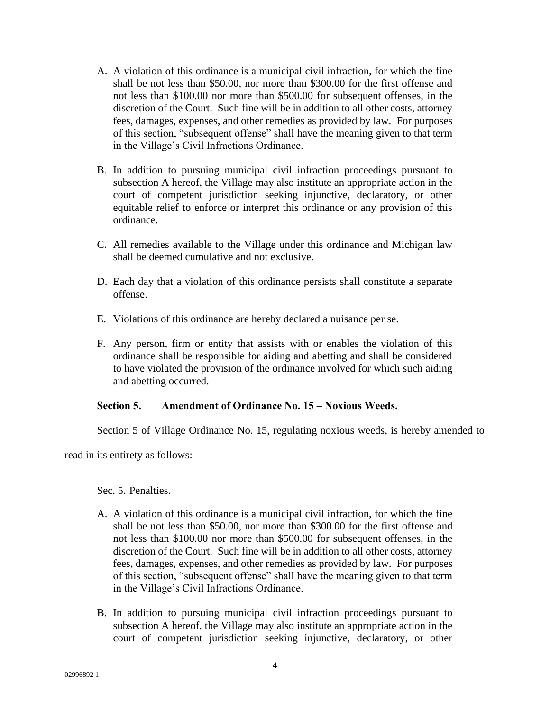- A. A violation of this ordinance is a municipal civil infraction, for which the fine shall be not less than \$50.00, nor more than \$300.00 for the first offense and not less than \$100.00 nor more than \$500.00 for subsequent offenses, in the discretion of the Court. Such fine will be in addition to all other costs, attorney fees, damages, expenses, and other remedies as provided by law. For purposes of this section, "subsequent offense" shall have the meaning given to that term in the Village's Civil Infractions Ordinance.
- B. In addition to pursuing municipal civil infraction proceedings pursuant to subsection A hereof, the Village may also institute an appropriate action in the court of competent jurisdiction seeking injunctive, declaratory, or other equitable relief to enforce or interpret this ordinance or any provision of this ordinance.
- C. All remedies available to the Village under this ordinance and Michigan law shall be deemed cumulative and not exclusive.
- D. Each day that a violation of this ordinance persists shall constitute a separate offense.
- E. Violations of this ordinance are hereby declared a nuisance per se.
- F. Any person, firm or entity that assists with or enables the violation of this ordinance shall be responsible for aiding and abetting and shall be considered to have violated the provision of the ordinance involved for which such aiding and abetting occurred.

# **Section 5. Amendment of Ordinance No. 15 – Noxious Weeds.**

Section 5 of Village Ordinance No. 15, regulating noxious weeds, is hereby amended to

read in its entirety as follows:

Sec. 5. Penalties.

- A. A violation of this ordinance is a municipal civil infraction, for which the fine shall be not less than \$50.00, nor more than \$300.00 for the first offense and not less than \$100.00 nor more than \$500.00 for subsequent offenses, in the discretion of the Court. Such fine will be in addition to all other costs, attorney fees, damages, expenses, and other remedies as provided by law. For purposes of this section, "subsequent offense" shall have the meaning given to that term in the Village's Civil Infractions Ordinance.
- B. In addition to pursuing municipal civil infraction proceedings pursuant to subsection A hereof, the Village may also institute an appropriate action in the court of competent jurisdiction seeking injunctive, declaratory, or other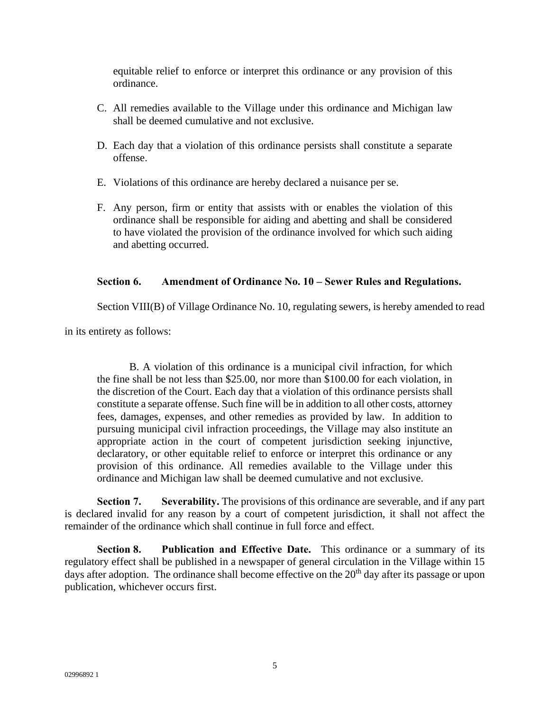equitable relief to enforce or interpret this ordinance or any provision of this ordinance.

- C. All remedies available to the Village under this ordinance and Michigan law shall be deemed cumulative and not exclusive.
- D. Each day that a violation of this ordinance persists shall constitute a separate offense.
- E. Violations of this ordinance are hereby declared a nuisance per se.
- F. Any person, firm or entity that assists with or enables the violation of this ordinance shall be responsible for aiding and abetting and shall be considered to have violated the provision of the ordinance involved for which such aiding and abetting occurred.

# **Section 6. Amendment of Ordinance No. 10 – Sewer Rules and Regulations.**

Section VIII(B) of Village Ordinance No. 10, regulating sewers, is hereby amended to read

in its entirety as follows:

B. A violation of this ordinance is a municipal civil infraction, for which the fine shall be not less than \$25.00, nor more than \$100.00 for each violation, in the discretion of the Court. Each day that a violation of this ordinance persists shall constitute a separate offense. Such fine will be in addition to all other costs, attorney fees, damages, expenses, and other remedies as provided by law. In addition to pursuing municipal civil infraction proceedings, the Village may also institute an appropriate action in the court of competent jurisdiction seeking injunctive, declaratory, or other equitable relief to enforce or interpret this ordinance or any provision of this ordinance. All remedies available to the Village under this ordinance and Michigan law shall be deemed cumulative and not exclusive.

**Section 7. Severability.** The provisions of this ordinance are severable, and if any part is declared invalid for any reason by a court of competent jurisdiction, it shall not affect the remainder of the ordinance which shall continue in full force and effect.

**Section 8. Publication and Effective Date.** This ordinance or a summary of its regulatory effect shall be published in a newspaper of general circulation in the Village within 15 days after adoption. The ordinance shall become effective on the  $20<sup>th</sup>$  day after its passage or upon publication, whichever occurs first.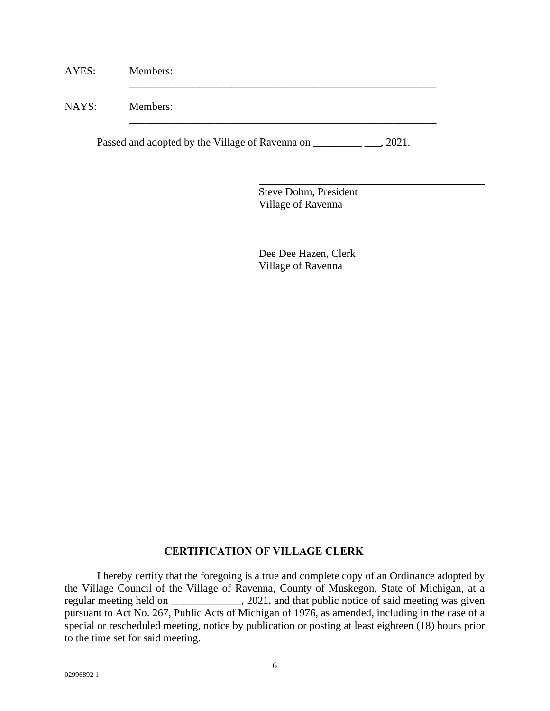| AYES: | Members: |
|-------|----------|
| NAYS: | Members: |

Passed and adopted by the Village of Ravenna on \_\_\_\_\_\_\_\_\_\_\_\_\_\_\_, 2021.

Steve Dohm, President Village of Ravenna

Dee Dee Hazen, Clerk Village of Ravenna

# **CERTIFICATION OF VILLAGE CLERK**

I hereby certify that the foregoing is a true and complete copy of an Ordinance adopted by the Village Council of the Village of Ravenna, County of Muskegon, State of Michigan, at a regular meeting held on \_\_\_\_\_\_\_\_\_\_\_\_\_, 2021, and that public notice of said meeting was given pursuant to Act No. 267, Public Acts of Michigan of 1976, as amended, including in the case of a special or rescheduled meeting, notice by publication or posting at least eighteen (18) hours prior to the time set for said meeting.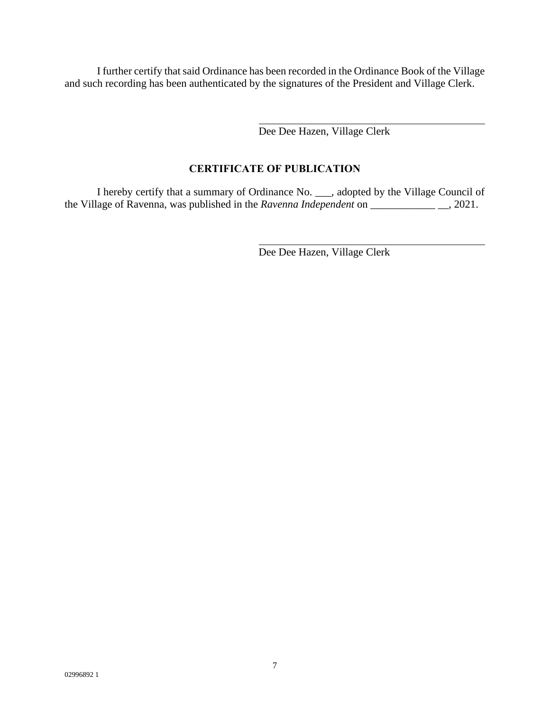I further certify that said Ordinance has been recorded in the Ordinance Book of the Village and such recording has been authenticated by the signatures of the President and Village Clerk.

Dee Dee Hazen, Village Clerk

# **CERTIFICATE OF PUBLICATION**

I hereby certify that a summary of Ordinance No. \_\_\_, adopted by the Village Council of the Village of Ravenna, was published in the *Ravenna Independent* on \_\_\_\_\_\_\_\_\_\_\_\_ \_\_, 2021.

Dee Dee Hazen, Village Clerk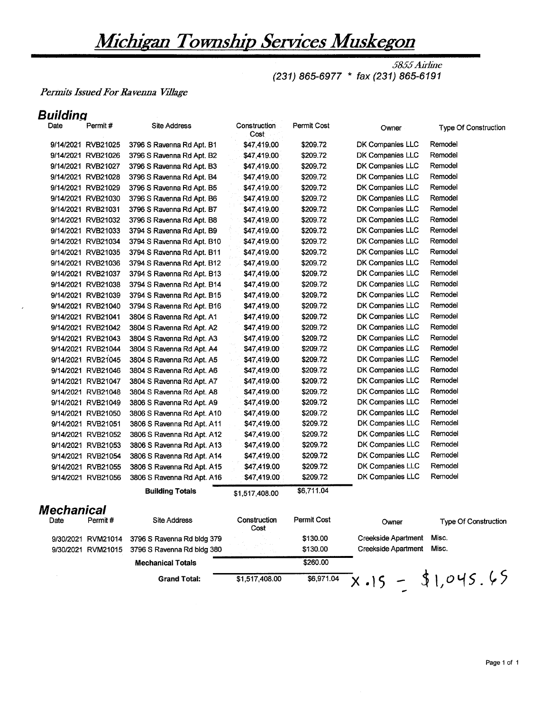# Michigan Township Services Muskegon

5855 Airline (231) 865-6977 \* fax (231) 865-6191

# Permits Issued For Ravenna Village

# **Building**

| unung             |                    |                            |                      |             |                            |                             |
|-------------------|--------------------|----------------------------|----------------------|-------------|----------------------------|-----------------------------|
| Date              | Permit#            | <b>Site Address</b>        | Construction<br>Cost | Permit Cost | Owner                      | <b>Type Of Construction</b> |
|                   | 9/14/2021 RVB21025 | 3796 S Ravenna Rd Apt. B1  | \$47,419.00          | \$209.72    | DK Companies LLC           | Remodel                     |
|                   | 9/14/2021 RVB21026 | 3796 S Ravenna Rd Apt. B2  | \$47,419.00          | \$209.72    | DK Companies LLC           | Remodel                     |
|                   | 9/14/2021 RVB21027 | 3796 S Ravenna Rd Apt. B3  | \$47,419.00          | \$209.72    | DK Companies LLC           | Remodel                     |
|                   | 9/14/2021 RVB21028 | 3796 S Ravenna Rd Apt. B4  | \$47,419.00          | \$209.72    | DK Companies LLC           | Remodel                     |
|                   | 9/14/2021 RVB21029 | 3796 S Ravenna Rd Apt. B5  | \$47,419.00          | \$209.72    | DK Companies LLC           | Remodel                     |
|                   | 9/14/2021 RVB21030 | 3796 S Ravenna Rd Apt. B6  | \$47,419.00          | \$209.72    | DK Companies LLC           | Remodel                     |
|                   | 9/14/2021 RVB21031 | 3796 S Ravenna Rd Apt. B7  | \$47,419.00          | \$209.72    | DK Companies LLC           | Remodel                     |
|                   | 9/14/2021 RVB21032 | 3796 S Ravenna Rd Apt. B8  | \$47,419.00          | \$209.72    | DK Companies LLC           | Remodel                     |
|                   | 9/14/2021 RVB21033 | 3794 S Ravenna Rd Apt. B9  | \$47,419.00          | \$209.72    | DK Companies LLC           | Remodel                     |
|                   | 9/14/2021 RVB21034 | 3794 S Ravenna Rd Apt. B10 | \$47,419.00          | \$209.72    | DK Companies LLC           | Remodel                     |
|                   | 9/14/2021 RVB21035 | 3794 S Ravenna Rd Apt. B11 | \$47,419.00          | \$209.72    | DK Companies LLC           | Remodel                     |
|                   | 9/14/2021 RVB21036 | 3794 S Ravenna Rd Apt. B12 | \$47,419.00          | \$209.72    | DK Companies LLC           | Remodel                     |
|                   | 9/14/2021 RVB21037 | 3794 S Ravenna Rd Apt. B13 | \$47,419.00          | \$209.72    | DK Companies LLC           | Remodel                     |
|                   | 9/14/2021 RVB21038 | 3794 S Ravenna Rd Apt. B14 | \$47,419.00          | \$209.72    | DK Companies LLC           | Remodel                     |
|                   | 9/14/2021 RVB21039 | 3794 S Ravenna Rd Apt. B15 | \$47,419.00          | \$209.72    | DK Companies LLC           | Remodel                     |
|                   | 9/14/2021 RVB21040 | 3794 S Ravenna Rd Apt. B16 | \$47,419.00          | \$209.72    | DK Companies LLC           | Remodel                     |
|                   | 9/14/2021 RVB21041 | 3804 S Ravenna Rd Apt. A1  | \$47,419.00          | \$209.72    | DK Companies LLC           | Remodel                     |
|                   | 9/14/2021 RVB21042 | 3804 S Ravenna Rd Apt. A2  | \$47,419.00          | \$209.72    | DK Companies LLC           | Remodel                     |
|                   | 9/14/2021 RVB21043 | 3804 S Ravenna Rd Apt. A3  | \$47,419.00          | \$209.72    | DK Companies LLC           | Remodel                     |
|                   | 9/14/2021 RVB21044 | 3804 S Ravenna Rd Apt. A4  | \$47,419.00          | \$209.72    | DK Companies LLC           | Remodel                     |
|                   | 9/14/2021 RVB21045 | 3804 S Ravenna Rd Apt. A5  | \$47,419.00          | \$209.72    | DK Companies LLC           | Remodel                     |
|                   | 9/14/2021 RVB21046 | 3804 S Ravenna Rd Apt. A6  | \$47,419.00          | \$209.72    | DK Companies LLC           | Remodel                     |
|                   | 9/14/2021 RVB21047 | 3804 S Ravenna Rd Apt. A7  | \$47,419.00          | \$209.72    | DK Companies LLC           | Remodel                     |
|                   | 9/14/2021 RVB21048 | 3804 S Ravenna Rd Apt. A8  | \$47,419.00          | \$209.72    | DK Companies LLC           | Remodel                     |
|                   | 9/14/2021 RVB21049 | 3806 S Ravenna Rd Apt. A9  | \$47,419.00          | \$209.72    | DK Companies LLC           | Remodel                     |
|                   | 9/14/2021 RVB21050 | 3806 S Ravenna Rd Apt. A10 | \$47,419.00          | \$209.72    | DK Companies LLC           | Remodel                     |
|                   | 9/14/2021 RVB21051 | 3806 S Ravenna Rd Apt. A11 | \$47,419.00          | \$209.72    | DK Companies LLC           | Remodel                     |
|                   | 9/14/2021 RVB21052 | 3806 S Ravenna Rd Apt. A12 | \$47,419.00          | \$209.72    | DK Companies LLC           | Remodel                     |
|                   | 9/14/2021 RVB21053 | 3806 S Ravenna Rd Apt. A13 | \$47,419.00          | \$209.72    | DK Companies LLC           | Remodel                     |
|                   | 9/14/2021 RVB21054 | 3806 S Ravenna Rd Apt. A14 | \$47,419.00          | \$209.72    | DK Companies LLC           | Remodel                     |
|                   | 9/14/2021 RVB21055 | 3806 S Ravenna Rd Apt. A15 | \$47,419.00          | \$209.72    | DK Companies LLC           | Remodel                     |
|                   | 9/14/2021 RVB21056 | 3806 S Ravenna Rd Apt. A16 | \$47,419.00          | \$209.72    | DK Companies LLC           | Remodel                     |
|                   |                    | <b>Building Totals</b>     | \$1,517,408.00       | \$6,711.04  |                            |                             |
| <b>Mechanical</b> |                    |                            |                      |             |                            |                             |
|                   | Permit#            | <b>Site Address</b>        | Construction<br>Cost | Permit Cost | Owner                      | Type Of Construction        |
|                   | 9/30/2021 RVM21014 | 3796 S Ravenna Rd bldg 379 |                      | \$130.00    | Creekside Apartment        | Misc.                       |
|                   | 9/30/2021 RVM21015 | 3796 S Ravenna Rd bldg 380 |                      | \$130.00    | <b>Creekside Apartment</b> | Misc.                       |
|                   |                    | <b>Mechanical Totals</b>   |                      | \$260.00    |                            |                             |
|                   |                    | <b>Grand Total:</b>        | \$1,517,408.00       | \$6,971.04  | $X - 15 =$                 | \$1,045.65                  |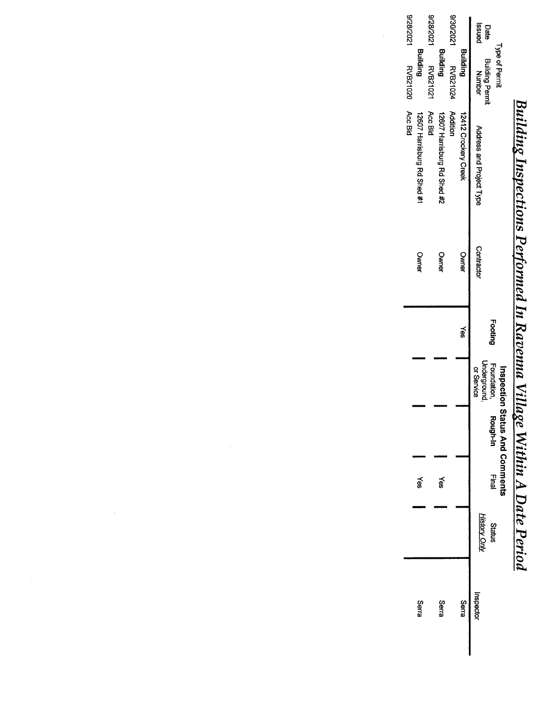# <u>Building Inspections Performed In Ravenna Village Within A Date Period</u><br>Instants Inspections Performed In Ravenna Village Within A Date Period

|               | Type of Permit                   |                             |            |         |                                          | inspection Status And Comment |              |                                      |           |
|---------------|----------------------------------|-----------------------------|------------|---------|------------------------------------------|-------------------------------|--------------|--------------------------------------|-----------|
| panss<br>Date | <b>Building Permit</b><br>Number | Address and Project Type    | Contractor | Footing | Underground<br>Foundation.<br>or Service | Rough-In                      | <b>Final</b> | <b>History Only</b><br><b>Status</b> | Inspector |
|               | Building                         | 12412 Crockery Creek        | Owner      | kes     |                                          |                               |              |                                      | Serra     |
|               | 9/30/2021 RVB21024               | <b>Addition</b>             |            |         |                                          |                               |              |                                      |           |
|               | <b>Building</b>                  | 12607 Harrisprig Rd Shed 芯  | Owner      |         |                                          |                               | §<br>®       |                                      | Serra     |
| 1202/82/6     | <b>RVB21021</b>                  | Acc Bld                     |            |         |                                          |                               |              |                                      |           |
|               | Building                         | 12607 Harrisburg Rd Shed #1 | Owner      |         |                                          |                               | §≷           |                                      | Serra     |
| 1202/82/6     | <b>RVB21020</b>                  | Acc Bld                     |            |         |                                          |                               |              |                                      |           |
|               |                                  |                             |            |         |                                          |                               |              |                                      |           |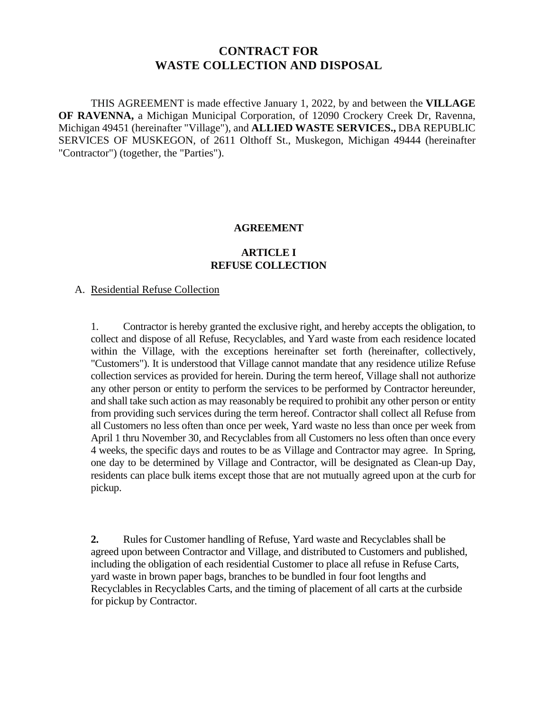# **CONTRACT FOR WASTE COLLECTION AND DISPOSAL**

THIS AGREEMENT is made effective January 1, 2022, by and between the **VILLAGE OF RAVENNA,** a Michigan Municipal Corporation, of 12090 Crockery Creek Dr, Ravenna, Michigan 49451 (hereinafter "Village"), and **ALLIED WASTE SERVICES.,** DBA REPUBLIC SERVICES OF MUSKEGON, of 2611 Olthoff St., Muskegon, Michigan 49444 (hereinafter "Contractor") (together, the "Parties").

### **AGREEMENT**

# **ARTICLE I REFUSE COLLECTION**

# A. Residential Refuse Collection

1. Contractor is hereby granted the exclusive right, and hereby accepts the obligation, to collect and dispose of all Refuse, Recyclables, and Yard waste from each residence located within the Village, with the exceptions hereinafter set forth (hereinafter, collectively, "Customers"). It is understood that Village cannot mandate that any residence utilize Refuse collection services as provided for herein. During the term hereof, Village shall not authorize any other person or entity to perform the services to be performed by Contractor hereunder, and shall take such action as may reasonably be required to prohibit any other person or entity from providing such services during the term hereof. Contractor shall collect all Refuse from all Customers no less often than once per week, Yard waste no less than once per week from April 1 thru November 30, and Recyclables from all Customers no less often than once every 4 weeks, the specific days and routes to be as Village and Contractor may agree. In Spring, one day to be determined by Village and Contractor, will be designated as Clean-up Day, residents can place bulk items except those that are not mutually agreed upon at the curb for pickup.

**2.** Rules for Customer handling of Refuse, Yard waste and Recyclables shall be agreed upon between Contractor and Village, and distributed to Customers and published, including the obligation of each residential Customer to place all refuse in Refuse Carts, yard waste in brown paper bags, branches to be bundled in four foot lengths and Recyclables in Recyclables Carts, and the timing of placement of all carts at the curbside for pickup by Contractor.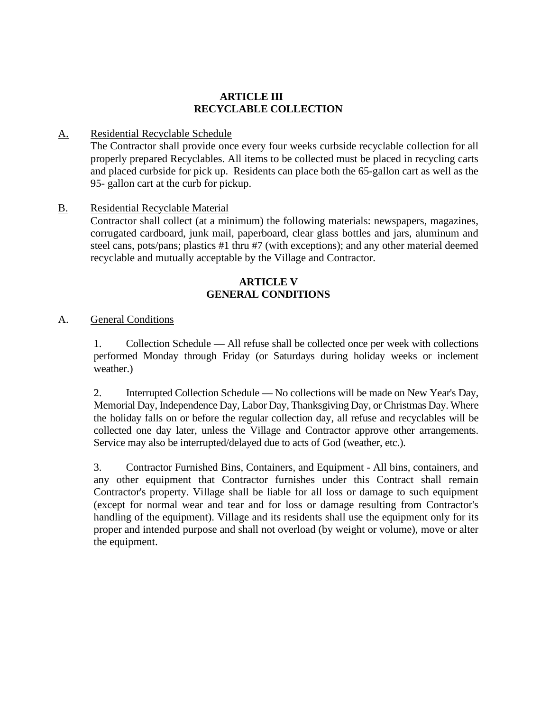# **ARTICLE III RECYCLABLE COLLECTION**

# A. Residential Recyclable Schedule

The Contractor shall provide once every four weeks curbside recyclable collection for all properly prepared Recyclables. All items to be collected must be placed in recycling carts and placed curbside for pick up. Residents can place both the 65-gallon cart as well as the 95- gallon cart at the curb for pickup.

# B. Residential Recyclable Material

Contractor shall collect (at a minimum) the following materials: newspapers, magazines, corrugated cardboard, junk mail, paperboard, clear glass bottles and jars, aluminum and steel cans, pots/pans; plastics #1 thru #7 (with exceptions); and any other material deemed recyclable and mutually acceptable by the Village and Contractor.

# **ARTICLE V GENERAL CONDITIONS**

# A. General Conditions

1. Collection Schedule — All refuse shall be collected once per week with collections performed Monday through Friday (or Saturdays during holiday weeks or inclement weather.)

2. Interrupted Collection Schedule — No collections will be made on New Year's Day, Memorial Day, Independence Day, Labor Day, Thanksgiving Day, or Christmas Day. Where the holiday falls on or before the regular collection day, all refuse and recyclables will be collected one day later, unless the Village and Contractor approve other arrangements. Service may also be interrupted/delayed due to acts of God (weather, etc.).

3. Contractor Furnished Bins, Containers, and Equipment - All bins, containers, and any other equipment that Contractor furnishes under this Contract shall remain Contractor's property. Village shall be liable for all loss or damage to such equipment (except for normal wear and tear and for loss or damage resulting from Contractor's handling of the equipment). Village and its residents shall use the equipment only for its proper and intended purpose and shall not overload (by weight or volume), move or alter the equipment.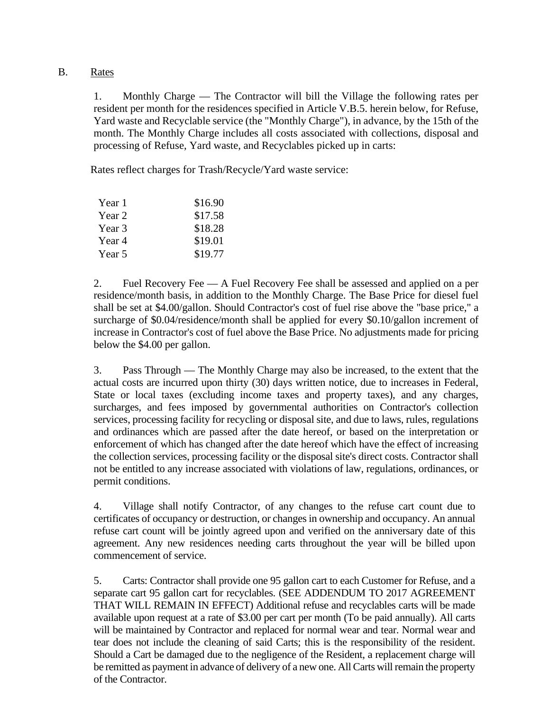# B. Rates

1. Monthly Charge — The Contractor will bill the Village the following rates per resident per month for the residences specified in Article V.B.5. herein below, for Refuse, Yard waste and Recyclable service (the "Monthly Charge"), in advance, by the 15th of the month. The Monthly Charge includes all costs associated with collections, disposal and processing of Refuse, Yard waste, and Recyclables picked up in carts:

Rates reflect charges for Trash/Recycle/Yard waste service:

| Year 1 | \$16.90 |
|--------|---------|
| Year 2 | \$17.58 |
| Year 3 | \$18.28 |
| Year 4 | \$19.01 |
| Year 5 | \$19.77 |

2. Fuel Recovery Fee — A Fuel Recovery Fee shall be assessed and applied on a per residence/month basis, in addition to the Monthly Charge. The Base Price for diesel fuel shall be set at \$4.00/gallon. Should Contractor's cost of fuel rise above the "base price," a surcharge of \$0.04/residence/month shall be applied for every \$0.10/gallon increment of increase in Contractor's cost of fuel above the Base Price. No adjustments made for pricing below the \$4.00 per gallon.

3. Pass Through — The Monthly Charge may also be increased, to the extent that the actual costs are incurred upon thirty (30) days written notice, due to increases in Federal, State or local taxes (excluding income taxes and property taxes), and any charges, surcharges, and fees imposed by governmental authorities on Contractor's collection services, processing facility for recycling or disposal site, and due to laws, rules, regulations and ordinances which are passed after the date hereof, or based on the interpretation or enforcement of which has changed after the date hereof which have the effect of increasing the collection services, processing facility or the disposal site's direct costs. Contractor shall not be entitled to any increase associated with violations of law, regulations, ordinances, or permit conditions.

4. Village shall notify Contractor, of any changes to the refuse cart count due to certificates of occupancy or destruction, or changes in ownership and occupancy. An annual refuse cart count will be jointly agreed upon and verified on the anniversary date of this agreement. Any new residences needing carts throughout the year will be billed upon commencement of service.

5. Carts: Contractor shall provide one 95 gallon cart to each Customer for Refuse, and a separate cart 95 gallon cart for recyclables. (SEE ADDENDUM TO 2017 AGREEMENT THAT WILL REMAIN IN EFFECT) Additional refuse and recyclables carts will be made available upon request at a rate of \$3.00 per cart per month (To be paid annually). All carts will be maintained by Contractor and replaced for normal wear and tear. Normal wear and tear does not include the cleaning of said Carts; this is the responsibility of the resident. Should a Cart be damaged due to the negligence of the Resident, a replacement charge will be remitted as payment in advance of delivery of a new one. All Carts will remain the property of the Contractor.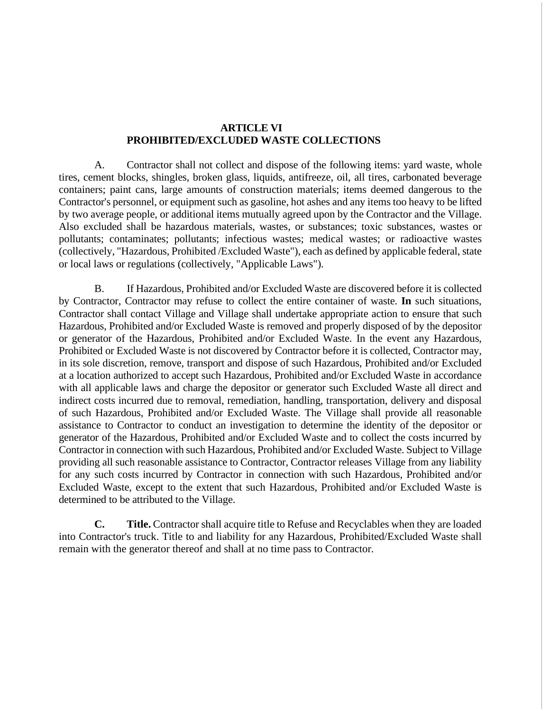# **ARTICLE VI PROHIBITED/EXCLUDED WASTE COLLECTIONS**

A. Contractor shall not collect and dispose of the following items: yard waste, whole tires, cement blocks, shingles, broken glass, liquids, antifreeze, oil, all tires, carbonated beverage containers; paint cans, large amounts of construction materials; items deemed dangerous to the Contractor's personnel, or equipment such as gasoline, hot ashes and any items too heavy to be lifted by two average people, or additional items mutually agreed upon by the Contractor and the Village. Also excluded shall be hazardous materials, wastes, or substances; toxic substances, wastes or pollutants; contaminates; pollutants; infectious wastes; medical wastes; or radioactive wastes (collectively, "Hazardous, Prohibited /Excluded Waste"), each as defined by applicable federal, state or local laws or regulations (collectively, "Applicable Laws").

B. If Hazardous, Prohibited and/or Excluded Waste are discovered before it is collected by Contractor, Contractor may refuse to collect the entire container of waste. **In** such situations, Contractor shall contact Village and Village shall undertake appropriate action to ensure that such Hazardous, Prohibited and/or Excluded Waste is removed and properly disposed of by the depositor or generator of the Hazardous, Prohibited and/or Excluded Waste. In the event any Hazardous, Prohibited or Excluded Waste is not discovered by Contractor before it is collected, Contractor may, in its sole discretion, remove, transport and dispose of such Hazardous, Prohibited and/or Excluded at a location authorized to accept such Hazardous, Prohibited and/or Excluded Waste in accordance with all applicable laws and charge the depositor or generator such Excluded Waste all direct and indirect costs incurred due to removal, remediation, handling, transportation, delivery and disposal of such Hazardous, Prohibited and/or Excluded Waste. The Village shall provide all reasonable assistance to Contractor to conduct an investigation to determine the identity of the depositor or generator of the Hazardous, Prohibited and/or Excluded Waste and to collect the costs incurred by Contractor in connection with such Hazardous, Prohibited and/or Excluded Waste. Subject to Village providing all such reasonable assistance to Contractor, Contractor releases Village from any liability for any such costs incurred by Contractor in connection with such Hazardous, Prohibited and/or Excluded Waste, except to the extent that such Hazardous, Prohibited and/or Excluded Waste is determined to be attributed to the Village.

**C. Title.** Contractor shall acquire title to Refuse and Recyclables when they are loaded into Contractor's truck. Title to and liability for any Hazardous, Prohibited/Excluded Waste shall remain with the generator thereof and shall at no time pass to Contractor.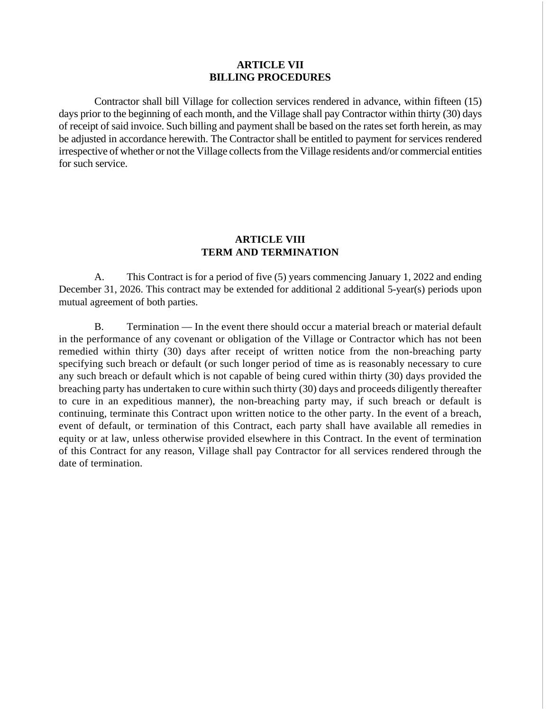# **ARTICLE VII BILLING PROCEDURES**

Contractor shall bill Village for collection services rendered in advance, within fifteen (15) days prior to the beginning of each month, and the Village shall pay Contractor within thirty (30) days of receipt of said invoice. Such billing and payment shall be based on the rates set forth herein, as may be adjusted in accordance herewith. The Contractor shall be entitled to payment for services rendered irrespective of whether or not the Village collects from the Village residents and/or commercial entities for such service.

# **ARTICLE VIII TERM AND TERMINATION**

A. This Contract is for a period of five (5) years commencing January 1, 2022 and ending December 31, 2026. This contract may be extended for additional 2 additional 5-year(s) periods upon mutual agreement of both parties.

B. Termination — In the event there should occur a material breach or material default in the performance of any covenant or obligation of the Village or Contractor which has not been remedied within thirty (30) days after receipt of written notice from the non-breaching party specifying such breach or default (or such longer period of time as is reasonably necessary to cure any such breach or default which is not capable of being cured within thirty (30) days provided the breaching party has undertaken to cure within such thirty (30) days and proceeds diligently thereafter to cure in an expeditious manner), the non-breaching party may, if such breach or default is continuing, terminate this Contract upon written notice to the other party. In the event of a breach, event of default, or termination of this Contract, each party shall have available all remedies in equity or at law, unless otherwise provided elsewhere in this Contract. In the event of termination of this Contract for any reason, Village shall pay Contractor for all services rendered through the date of termination.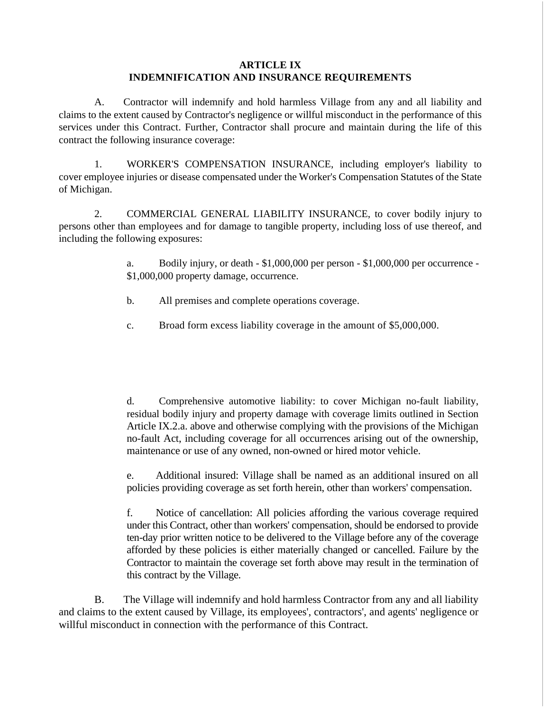# **ARTICLE IX INDEMNIFICATION AND INSURANCE REQUIREMENTS**

A. Contractor will indemnify and hold harmless Village from any and all liability and claims to the extent caused by Contractor's negligence or willful misconduct in the performance of this services under this Contract. Further, Contractor shall procure and maintain during the life of this contract the following insurance coverage:

1. WORKER'S COMPENSATION INSURANCE, including employer's liability to cover employee injuries or disease compensated under the Worker's Compensation Statutes of the State of Michigan.

2. COMMERCIAL GENERAL LIABILITY INSURANCE, to cover bodily injury to persons other than employees and for damage to tangible property, including loss of use thereof, and including the following exposures:

> a. Bodily injury, or death - \$1,000,000 per person - \$1,000,000 per occurrence - \$1,000,000 property damage, occurrence.

- b. All premises and complete operations coverage.
- c. Broad form excess liability coverage in the amount of \$5,000,000.

d. Comprehensive automotive liability: to cover Michigan no-fault liability, residual bodily injury and property damage with coverage limits outlined in Section Article IX.2.a. above and otherwise complying with the provisions of the Michigan no-fault Act, including coverage for all occurrences arising out of the ownership, maintenance or use of any owned, non-owned or hired motor vehicle.

e. Additional insured: Village shall be named as an additional insured on all policies providing coverage as set forth herein, other than workers' compensation.

f. Notice of cancellation: All policies affording the various coverage required under this Contract, other than workers' compensation, should be endorsed to provide ten-day prior written notice to be delivered to the Village before any of the coverage afforded by these policies is either materially changed or cancelled. Failure by the Contractor to maintain the coverage set forth above may result in the termination of this contract by the Village.

B. The Village will indemnify and hold harmless Contractor from any and all liability and claims to the extent caused by Village, its employees', contractors', and agents' negligence or willful misconduct in connection with the performance of this Contract.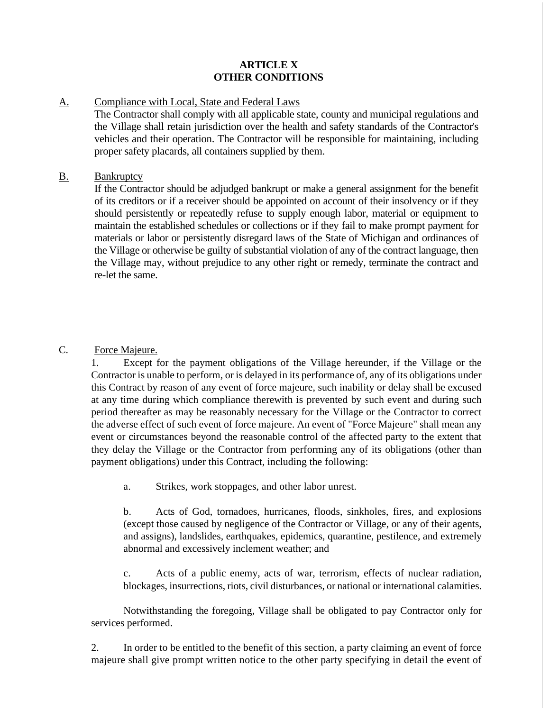# **ARTICLE X OTHER CONDITIONS**

# A. Compliance with Local, State and Federal Laws

The Contractor shall comply with all applicable state, county and municipal regulations and the Village shall retain jurisdiction over the health and safety standards of the Contractor's vehicles and their operation. The Contractor will be responsible for maintaining, including proper safety placards, all containers supplied by them.

# B. Bankruptcy

If the Contractor should be adjudged bankrupt or make a general assignment for the benefit of its creditors or if a receiver should be appointed on account of their insolvency or if they should persistently or repeatedly refuse to supply enough labor, material or equipment to maintain the established schedules or collections or if they fail to make prompt payment for materials or labor or persistently disregard laws of the State of Michigan and ordinances of the Village or otherwise be guilty of substantial violation of any of the contract language, then the Village may, without prejudice to any other right or remedy, terminate the contract and re-let the same.

# C. Force Majeure.

1. Except for the payment obligations of the Village hereunder, if the Village or the Contractor is unable to perform, or is delayed in its performance of, any of its obligations under this Contract by reason of any event of force majeure, such inability or delay shall be excused at any time during which compliance therewith is prevented by such event and during such period thereafter as may be reasonably necessary for the Village or the Contractor to correct the adverse effect of such event of force majeure. An event of "Force Majeure" shall mean any event or circumstances beyond the reasonable control of the affected party to the extent that they delay the Village or the Contractor from performing any of its obligations (other than payment obligations) under this Contract, including the following:

a. Strikes, work stoppages, and other labor unrest.

b. Acts of God, tornadoes, hurricanes, floods, sinkholes, fires, and explosions (except those caused by negligence of the Contractor or Village, or any of their agents, and assigns), landslides, earthquakes, epidemics, quarantine, pestilence, and extremely abnormal and excessively inclement weather; and

c. Acts of a public enemy, acts of war, terrorism, effects of nuclear radiation, blockages, insurrections, riots, civil disturbances, or national or international calamities.

Notwithstanding the foregoing, Village shall be obligated to pay Contractor only for services performed.

2. In order to be entitled to the benefit of this section, a party claiming an event of force majeure shall give prompt written notice to the other party specifying in detail the event of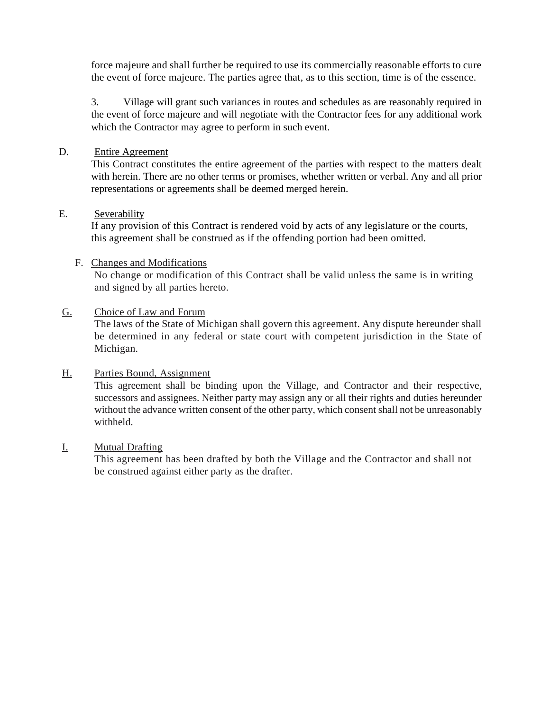force majeure and shall further be required to use its commercially reasonable efforts to cure the event of force majeure. The parties agree that, as to this section, time is of the essence.

3. Village will grant such variances in routes and schedules as are reasonably required in the event of force majeure and will negotiate with the Contractor fees for any additional work which the Contractor may agree to perform in such event.

# D. Entire Agreement

This Contract constitutes the entire agreement of the parties with respect to the matters dealt with herein. There are no other terms or promises, whether written or verbal. Any and all prior representations or agreements shall be deemed merged herein.

# E. Severability

If any provision of this Contract is rendered void by acts of any legislature or the courts, this agreement shall be construed as if the offending portion had been omitted.

# F. Changes and Modifications

No change or modification of this Contract shall be valid unless the same is in writing and signed by all parties hereto.

# G. Choice of Law and Forum

The laws of the State of Michigan shall govern this agreement. Any dispute hereunder shall be determined in any federal or state court with competent jurisdiction in the State of Michigan.

# H. Parties Bound, Assignment

This agreement shall be binding upon the Village, and Contractor and their respective, successors and assignees. Neither party may assign any or all their rights and duties hereunder without the advance written consent of the other party, which consent shall not be unreasonably withheld.

# I. Mutual Drafting

This agreement has been drafted by both the Village and the Contractor and shall not be construed against either party as the drafter.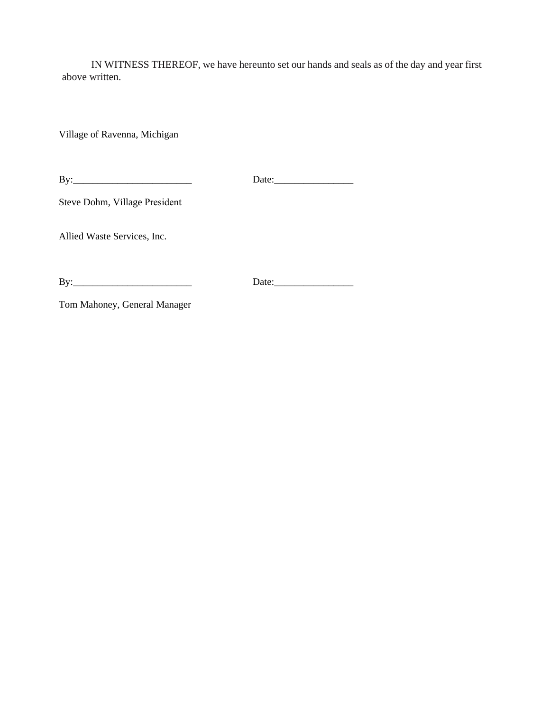IN WITNESS THEREOF, we have hereunto set our hands and seals as of the day and year first above written.

Village of Ravenna, Michigan

Date:\_\_\_\_\_\_\_\_\_\_\_\_\_\_\_\_ By:\_\_\_\_\_\_\_\_\_\_\_\_\_\_\_\_\_\_\_\_\_\_\_\_

Steve Dohm, Village President

Allied Waste Services, Inc.

By:\_\_\_\_\_\_\_\_\_\_\_\_\_\_\_\_\_\_\_\_\_\_\_\_

Date:

Tom Mahoney, General Manager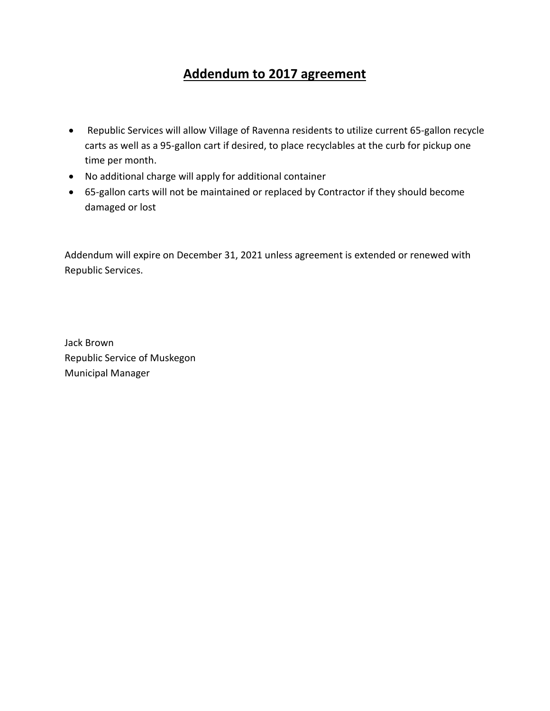# **Addendum to 2017 agreement**

- Republic Services will allow Village of Ravenna residents to utilize current 65-gallon recycle carts as well as a 95-gallon cart if desired, to place recyclables at the curb for pickup one time per month.
- No additional charge will apply for additional container
- 65-gallon carts will not be maintained or replaced by Contractor if they should become damaged or lost

Addendum will expire on December 31, 2021 unless agreement is extended or renewed with Republic Services.

Jack Brown Republic Service of Muskegon Municipal Manager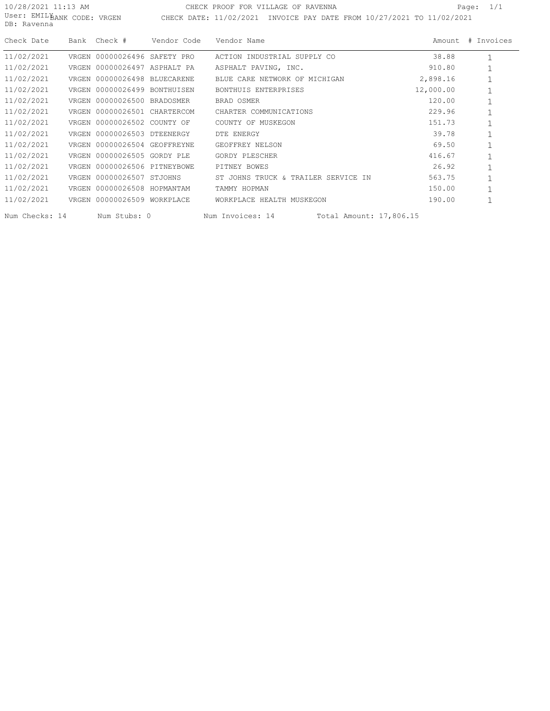10/28/2021 11:13 AM User: EMIL¥ DB: Ravenna

BANK CODE: VRGEN CHECK DATE: 11/02/2021 INVOICE PAY DATE FROM 10/27/2021 TO 11/02/2021 CHECK PROOF FOR VILLAGE OF RAVENNA PAGE: 1/1

| Check Date     | Bank Check # Vendor Code     |  | Vendor Name                                           |           | Amount # Invoices |
|----------------|------------------------------|--|-------------------------------------------------------|-----------|-------------------|
| 11/02/2021     | VRGEN 00000026496 SAFETY PRO |  | ACTION INDUSTRIAL SUPPLY CO                           | 38.88     |                   |
| 11/02/2021     | VRGEN 00000026497 ASPHALT PA |  | ASPHALT PAVING, INC.                                  | 910.80    |                   |
| 11/02/2021     | VRGEN 00000026498 BLUECARENE |  | BLUE CARE NETWORK OF MICHIGAN                         | 2,898.16  |                   |
| 11/02/2021     | VRGEN 00000026499 BONTHUISEN |  | BONTHUIS ENTERPRISES                                  | 12,000.00 |                   |
| 11/02/2021     | VRGEN 00000026500 BRADOSMER  |  | BRAD OSMER                                            | 120.00    |                   |
| 11/02/2021     | VRGEN 00000026501 CHARTERCOM |  | CHARTER COMMUNICATIONS                                | 229.96    |                   |
| 11/02/2021     | VRGEN 00000026502 COUNTY OF  |  | COUNTY OF MUSKEGON                                    | 151.73    |                   |
| 11/02/2021     | VRGEN 00000026503 DTEENERGY  |  | DTE ENERGY                                            | 39.78     |                   |
| 11/02/2021     | VRGEN 00000026504 GEOFFREYNE |  | GEOFFREY NELSON                                       | 69.50     |                   |
| 11/02/2021     | VRGEN 00000026505 GORDY PLE  |  | GORDY PLESCHER                                        | 416.67    |                   |
| 11/02/2021     | VRGEN 00000026506 PITNEYBOWE |  | PITNEY BOWES                                          | 26.92     |                   |
| 11/02/2021     | VRGEN 00000026507 STJOHNS    |  | ST JOHNS TRUCK & TRAILER SERVICE IN                   | 563.75    |                   |
| 11/02/2021     | VRGEN 00000026508 HOPMANTAM  |  | TAMMY HOPMAN                                          | 150.00    |                   |
| 11/02/2021     | VRGEN 00000026509 WORKPLACE  |  | WORKPLACE HEALTH MUSKEGON                             | 190.00    |                   |
| Num Checks: 14 |                              |  | Num Stubs: 0 Num Invoices: 14 Total Amount: 17,806.15 |           |                   |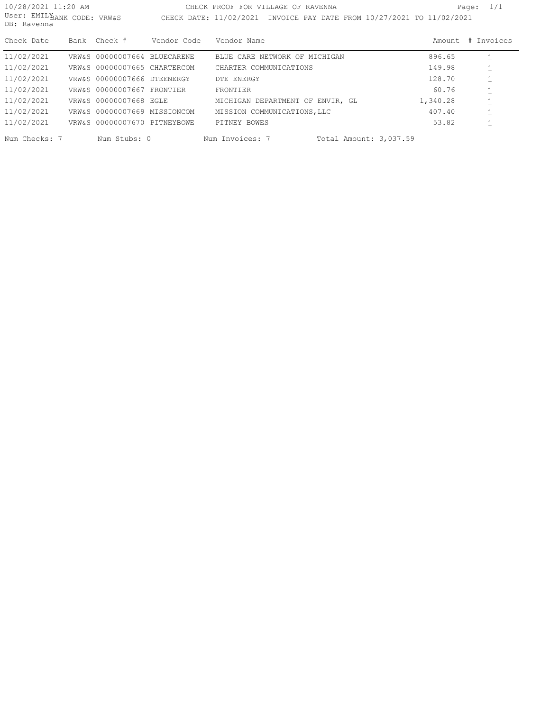| 10/28/2021 11:20 AM<br>User: EMILBANK CODE: VRW&S<br>DB: Ravenna |      |                              |             | CHECK PROOF FOR VILLAGE OF RAVENNA<br>CHECK DATE: 11/02/2021 INVOICE PAY DATE FROM 10/27/2021 TO 11/02/2021 |          | Page: $1/1$ |
|------------------------------------------------------------------|------|------------------------------|-------------|-------------------------------------------------------------------------------------------------------------|----------|-------------|
| Check Date                                                       | Bank | Check #                      | Vendor Code | Vendor Name                                                                                                 | Amount   | # Invoices  |
| 11/02/2021                                                       |      | VRW&S 00000007664 BLUECARENE |             | BLUE CARE NETWORK OF MICHIGAN                                                                               | 896.65   |             |
| 11/02/2021                                                       |      | VRW&S 00000007665 CHARTERCOM |             | CHARTER COMMUNICATIONS                                                                                      | 149.98   |             |
| 11/02/2021                                                       |      | VRW&S 00000007666 DTEENERGY  |             | DTE ENERGY                                                                                                  | 128.70   |             |
| 11/02/2021                                                       |      | VRW&S 00000007667 FRONTIER   |             | FRONTIER                                                                                                    | 60.76    |             |
| 11/02/2021                                                       |      | VRW&S 00000007668 EGLE       |             | MICHIGAN DEPARTMENT OF ENVIR, GL                                                                            | 1,340.28 |             |
| 11/02/2021                                                       |      | VRW&S 00000007669 MISSIONCOM |             | MISSION COMMUNICATIONS, LLC                                                                                 | 407.40   |             |
| 11/02/2021                                                       |      | VRW&S 00000007670 PITNEYBOWE |             | PITNEY BOWES                                                                                                | 53.82    |             |
| Num Checks: 7                                                    |      | Num Stubs: 0                 |             | Num Invoices: 7<br>Total Amount: 3,037.59                                                                   |          |             |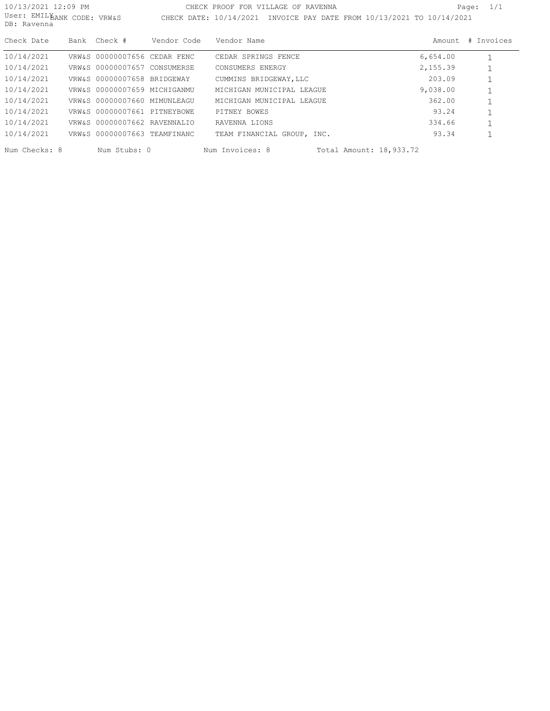| 10/13/2021 12:09 PM<br>User: EMILBANK CODE: VRW&S<br>DB: Ravenna |                              |             | CHECK PROOF FOR VILLAGE OF RAVENNA<br>CHECK DATE: 10/14/2021 INVOICE PAY DATE FROM 10/13/2021 TO 10/14/2021 |          | Page: $1/1$ |
|------------------------------------------------------------------|------------------------------|-------------|-------------------------------------------------------------------------------------------------------------|----------|-------------|
| Check Date                                                       | Bank Check #                 | Vendor Code | Vendor Name                                                                                                 | Amount   | # Invoices  |
| 10/14/2021                                                       | VRW&S 00000007656 CEDAR FENC |             | CEDAR SPRINGS FENCE                                                                                         | 6,654.00 |             |
| 10/14/2021                                                       | VRW&S 00000007657 CONSUMERSE |             | CONSUMERS ENERGY                                                                                            | 2,155.39 |             |
| 10/14/2021                                                       | VRW&S 00000007658 BRIDGEWAY  |             | CUMMINS BRIDGEWAY, LLC                                                                                      | 203.09   |             |
| 10/14/2021                                                       | VRW&S 00000007659 MICHIGANMU |             | MICHIGAN MUNICIPAL LEAGUE                                                                                   | 9,038.00 |             |
| 10/14/2021                                                       | VRW&S 00000007660 MIMUNLEAGU |             | MICHIGAN MUNICIPAL LEAGUE                                                                                   | 362.00   |             |
| 10/14/2021                                                       | VRW&S 00000007661 PITNEYBOWE |             | PITNEY BOWES                                                                                                | 93.24    |             |
| 10/14/2021                                                       | VRW&S 00000007662 RAVENNALIO |             | RAVENNA LIONS                                                                                               | 334.66   |             |
| 10/14/2021                                                       | VRW&S 00000007663 TEAMFINANC |             | TEAM FINANCIAL GROUP, INC.                                                                                  | 93.34    |             |
| Num Checks: 8                                                    | Num Stubs: 0                 |             | Num Invoices: 8<br>Total Amount: 18,933.72                                                                  |          |             |